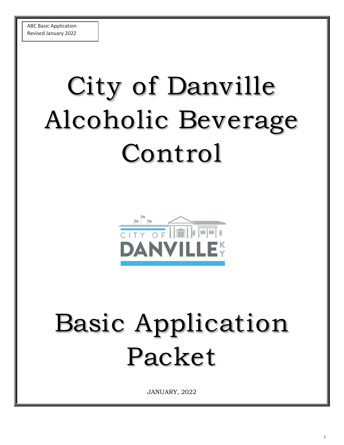# City of Danville Alcoholic Beverage Control



## Basic Application Packet

JANUARY, 2022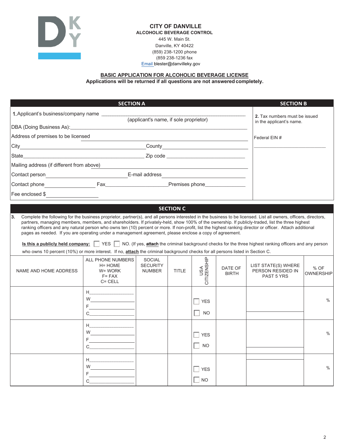

#### **CITY OF DANVILLE ALCOHOLIC BEVERAGE CONTROL** 445 W. Main St. Danville, KY 40422 (859) 238-1200 phone (859 238-1236 fax  $E$ mail blester@danvilleky.gov

## **BASIC APPLICATION FOR ALCOHOLIC BEVERAGE LICENSE Applications will be returned if all questions are not answeredcompletely.**

|                                                                                                                                                                                                                                                                                                                                                                                                                                                                                                                                                                                                                                                                                                                                                                                                                                                                                                | <b>SECTION A</b>                                                                                                                                                                                                                                                                                                                                              |                                                   |                  |                         |                         | <b>SECTION B</b>                                          |                          |
|------------------------------------------------------------------------------------------------------------------------------------------------------------------------------------------------------------------------------------------------------------------------------------------------------------------------------------------------------------------------------------------------------------------------------------------------------------------------------------------------------------------------------------------------------------------------------------------------------------------------------------------------------------------------------------------------------------------------------------------------------------------------------------------------------------------------------------------------------------------------------------------------|---------------------------------------------------------------------------------------------------------------------------------------------------------------------------------------------------------------------------------------------------------------------------------------------------------------------------------------------------------------|---------------------------------------------------|------------------|-------------------------|-------------------------|-----------------------------------------------------------|--------------------------|
| 1. Applicant's business/company name                                                                                                                                                                                                                                                                                                                                                                                                                                                                                                                                                                                                                                                                                                                                                                                                                                                           |                                                                                                                                                                                                                                                                                                                                                               | (applicant's name, if sole proprietor)            |                  |                         |                         | 2. Tax numbers must be issued<br>in the applicant's name. |                          |
| DBA (Doing Business As): DBA (Doing Business As):                                                                                                                                                                                                                                                                                                                                                                                                                                                                                                                                                                                                                                                                                                                                                                                                                                              |                                                                                                                                                                                                                                                                                                                                                               |                                                   |                  |                         |                         |                                                           |                          |
| Address of premises to be licensed                                                                                                                                                                                                                                                                                                                                                                                                                                                                                                                                                                                                                                                                                                                                                                                                                                                             |                                                                                                                                                                                                                                                                                                                                                               |                                                   |                  |                         |                         | Federal EIN #                                             |                          |
|                                                                                                                                                                                                                                                                                                                                                                                                                                                                                                                                                                                                                                                                                                                                                                                                                                                                                                |                                                                                                                                                                                                                                                                                                                                                               |                                                   |                  |                         |                         |                                                           |                          |
| State <u>in the state of the state of the state of</u> $\overline{z}$ is code <u>that in the state of the state of the state of</u>                                                                                                                                                                                                                                                                                                                                                                                                                                                                                                                                                                                                                                                                                                                                                            |                                                                                                                                                                                                                                                                                                                                                               |                                                   |                  |                         |                         |                                                           |                          |
| Mailing address (if different from above)                                                                                                                                                                                                                                                                                                                                                                                                                                                                                                                                                                                                                                                                                                                                                                                                                                                      |                                                                                                                                                                                                                                                                                                                                                               |                                                   |                  |                         |                         |                                                           |                          |
|                                                                                                                                                                                                                                                                                                                                                                                                                                                                                                                                                                                                                                                                                                                                                                                                                                                                                                |                                                                                                                                                                                                                                                                                                                                                               |                                                   |                  |                         |                         |                                                           |                          |
|                                                                                                                                                                                                                                                                                                                                                                                                                                                                                                                                                                                                                                                                                                                                                                                                                                                                                                |                                                                                                                                                                                                                                                                                                                                                               |                                                   |                  |                         |                         |                                                           |                          |
| Fee enclosed $\frac{1}{2}$                                                                                                                                                                                                                                                                                                                                                                                                                                                                                                                                                                                                                                                                                                                                                                                                                                                                     |                                                                                                                                                                                                                                                                                                                                                               |                                                   |                  |                         |                         |                                                           |                          |
|                                                                                                                                                                                                                                                                                                                                                                                                                                                                                                                                                                                                                                                                                                                                                                                                                                                                                                |                                                                                                                                                                                                                                                                                                                                                               |                                                   | <b>SECTION C</b> |                         |                         |                                                           |                          |
| Complete the following for the business proprietor, partner(s), and all persons interested in the business to be licensed. List all owners, officers, directors,<br>partners, managing members, members, and shareholders. If privately-held, show 100% of the ownership. If publicly-traded, list the three highest<br>ranking officers and any natural person who owns ten (10) percent or more. If non-profit, list the highest ranking director or officer. Attach additional<br>pages as needed. If you are operating under a management agreement, please enclose a copy of agreement.<br>Is this a publicly held company: $\vert$ YES $\vert$ NO. (If yes, attach the criminal background checks for the three highest ranking officers and any person<br>who owns 10 percent (10%) or more interest. If no, attach the criminal background checks for all persons listed in Section C. |                                                                                                                                                                                                                                                                                                                                                               |                                                   |                  |                         |                         |                                                           |                          |
| NAME AND HOME ADDRESS                                                                                                                                                                                                                                                                                                                                                                                                                                                                                                                                                                                                                                                                                                                                                                                                                                                                          | ALL PHONE NUMBERS<br>$H = HOME$<br>W= WORK<br>$F = FAX$<br>$C = CELL$                                                                                                                                                                                                                                                                                         | <b>SOCIAL</b><br><b>SECURITY</b><br><b>NUMBER</b> | <b>TITLE</b>     | USA<br>CITIZENSHIP      | DATE OF<br><b>BIRTH</b> | LIST STATE(S) WHERE<br>PERSON RESIDED IN<br>PAST 5 YRS    | % OF<br><b>OWNERSHIP</b> |
|                                                                                                                                                                                                                                                                                                                                                                                                                                                                                                                                                                                                                                                                                                                                                                                                                                                                                                | $H_{\underbrace{\hspace{2.5cm}}\hspace{2.5cm}}-\hspace{2.5cm}\underbrace{\hspace{2.5cm}}$<br>W <sub>2</sub> and the second second second second second second second second second second second second second second second second second second second second second second second second second second second second second second<br>$F =$<br>$\mathbf C$ |                                                   |                  | <b>YES</b><br><b>NO</b> |                         |                                                           | $\%$                     |
|                                                                                                                                                                                                                                                                                                                                                                                                                                                                                                                                                                                                                                                                                                                                                                                                                                                                                                | H<br>$W =$<br>$F =$<br>$\mathbf C$                                                                                                                                                                                                                                                                                                                            |                                                   |                  | <b>YES</b><br><b>NO</b> |                         |                                                           | $\%$                     |
|                                                                                                                                                                                                                                                                                                                                                                                                                                                                                                                                                                                                                                                                                                                                                                                                                                                                                                | H is a set of $\mathbb{H}$<br>$W \qquad \qquad \qquad$<br>F.<br>C                                                                                                                                                                                                                                                                                             |                                                   |                  | <b>YES</b><br><b>NO</b> |                         |                                                           | $\%$                     |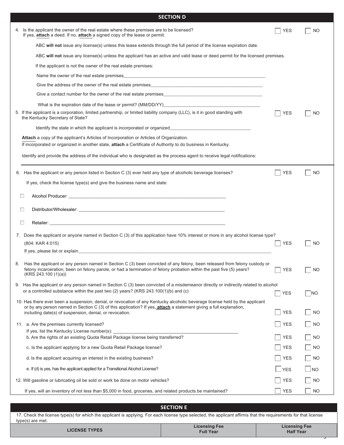|    | <b>SECTION D</b>                                                                                                                                                                                                                                                                                              |              |           |
|----|---------------------------------------------------------------------------------------------------------------------------------------------------------------------------------------------------------------------------------------------------------------------------------------------------------------|--------------|-----------|
|    | 4. Is the applicant the owner of the real estate where these premises are to be licensed?<br>If yes, attach a deed. If no, attach a signed copy of the lease or permit.                                                                                                                                       | YES          | NO        |
|    | ABC will not issue any license(s) unless this lease extends through the full period of the license expiration date.                                                                                                                                                                                           |              |           |
|    | ABC will not issue any license(s) unless the applicant has an active and valid lease or deed permit for the licensed premises.                                                                                                                                                                                |              |           |
|    | If the applicant is not the owner of the real estate premises:                                                                                                                                                                                                                                                |              |           |
|    |                                                                                                                                                                                                                                                                                                               |              |           |
|    | Give the address of the owner of the real estate premises example and the control of the control of the control of the real estate premises                                                                                                                                                                   |              |           |
|    | Give a contact number for the owner of the real estate premises                                                                                                                                                                                                                                               |              |           |
|    |                                                                                                                                                                                                                                                                                                               |              |           |
|    | 5. If the applicant is a corporation, limited partnership, or limited liability company (LLC), is it in good standing with<br>the Kentucky Secretary of State?                                                                                                                                                | <b>YES</b>   | <b>NO</b> |
|    |                                                                                                                                                                                                                                                                                                               |              |           |
|    | <b>Attach</b> a copy of the applicant's Articles of Incorporation or Articles of Organization.<br>If incorporated or organized in another state, attach a Certificate of Authority to do business in Kentucky.                                                                                                |              |           |
|    | Identify and provide the address of the individual who is designated as the process agent to receive legal notifications:                                                                                                                                                                                     |              |           |
|    | 6. Has the applicant or any person listed in Section C (3) ever held any type of alcoholic beverage licenses?                                                                                                                                                                                                 | <b>YES</b>   | NO        |
|    | If yes, check the license type(s) and give the business name and state:                                                                                                                                                                                                                                       |              |           |
|    |                                                                                                                                                                                                                                                                                                               |              |           |
|    | ப                                                                                                                                                                                                                                                                                                             |              |           |
|    | ப                                                                                                                                                                                                                                                                                                             |              |           |
|    | $\Box$                                                                                                                                                                                                                                                                                                        |              |           |
|    | 7. Does the applicant or anyone named in Section C (3) of this application have 10% interest or more in any alcohol license type?                                                                                                                                                                             |              |           |
|    | (804: KAR 4:015)                                                                                                                                                                                                                                                                                              | <b>YES</b>   | <b>NO</b> |
|    | If yes, please list or explain the contract of the contract of the contract of the contract of the contract of                                                                                                                                                                                                |              |           |
| 8. | Has the applicant or any person named in Section C (3) been convicted of any felony, been released from felony custody or<br>felony incarceration, been on felony parole, or had a termination of felony probation within the past five (5) years?<br>(KRS 243.100)1)(a)                                      | <b>YES</b>   | NO        |
|    | 9. Has the applicant or any person named in Section C (3) been convicted of a misdemeanor directly or indirectly related to alcohol<br>or a controlled substance within the past two (2) years? (KRS 243.100(1)(b) and (c)                                                                                    | <b>YES</b>   | $\neg$ NO |
|    | 10. Has there ever been a suspension, denial, or revocation of any Kentucky alcoholic beverage license held by the applicant<br>or by any person named in Section C (3) of this application? If yes, attach a statement giving a full explanation,<br>including date(s) of suspension, denial, or revocation. | <b>YES</b>   | <b>NO</b> |
|    |                                                                                                                                                                                                                                                                                                               |              |           |
|    | 11. a. Are the premises currently licensed?<br>If yes, list the Kentucky License number(s):                                                                                                                                                                                                                   | <b>YES</b>   | <b>NO</b> |
|    | b. Are the rights of an existing Quota Retail Package license being transferred?                                                                                                                                                                                                                              | <b>YES</b>   | <b>NO</b> |
|    | c. Is the applicant applying for a new Quota Retail Package license?                                                                                                                                                                                                                                          | <b>YES</b>   | <b>NO</b> |
|    | d. Is the applicant acquiring an interest in the existing business?                                                                                                                                                                                                                                           | <b>YES</b>   | <b>NO</b> |
|    | e. If (d) is yes, has the applicant applied for a Transitional Alcohol License?                                                                                                                                                                                                                               | <b>S</b> YES | $\Box$ NO |
|    | 12. Will gasoline or lubricating oil be sold or work be done on motor vehicles?                                                                                                                                                                                                                               | <b>YES</b>   | <b>NO</b> |
|    | If yes, will an inventory of not less than \$5,000 in food, groceries, and related products be maintained?                                                                                                                                                                                                    | <b>YES</b>   | <b>NO</b> |
|    |                                                                                                                                                                                                                                                                                                               |              |           |
|    | <b>SECTION E</b>                                                                                                                                                                                                                                                                                              |              |           |

| 17. Check the license type(s) for which the applicant is applying. For each license type selected, the applicant affirms that the requirements for that license |  |  |
|-----------------------------------------------------------------------------------------------------------------------------------------------------------------|--|--|
| type(s) are met.                                                                                                                                                |  |  |

| ,                    |                                          |                                          |
|----------------------|------------------------------------------|------------------------------------------|
| <b>LICENSE TYPES</b> | <b>Licensing Fee</b><br><b>Full Year</b> | <b>Licensing Fee</b><br><b>Half Year</b> |
|                      |                                          |                                          |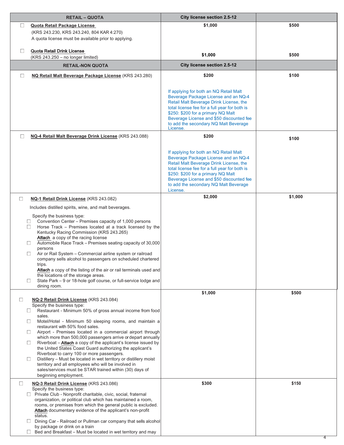| <b>RETAIL - QUOTA</b>                                                                                                                                                                                                                                                                                                                                                                                                                                                                                                                                                                                                                                                                                                                                                                                                             | City license section 2.5-12                                                                                                                                                                                                                                                                                       |         |
|-----------------------------------------------------------------------------------------------------------------------------------------------------------------------------------------------------------------------------------------------------------------------------------------------------------------------------------------------------------------------------------------------------------------------------------------------------------------------------------------------------------------------------------------------------------------------------------------------------------------------------------------------------------------------------------------------------------------------------------------------------------------------------------------------------------------------------------|-------------------------------------------------------------------------------------------------------------------------------------------------------------------------------------------------------------------------------------------------------------------------------------------------------------------|---------|
| $\Box$<br>Quota Retail Package License                                                                                                                                                                                                                                                                                                                                                                                                                                                                                                                                                                                                                                                                                                                                                                                            | \$1,000                                                                                                                                                                                                                                                                                                           | \$500   |
| (KRS 243.230, KRS 243.240, 804 KAR 4:270)                                                                                                                                                                                                                                                                                                                                                                                                                                                                                                                                                                                                                                                                                                                                                                                         |                                                                                                                                                                                                                                                                                                                   |         |
| A quota license must be available prior to applying.                                                                                                                                                                                                                                                                                                                                                                                                                                                                                                                                                                                                                                                                                                                                                                              |                                                                                                                                                                                                                                                                                                                   |         |
| $\Box$<br>Quota Retail Drink License                                                                                                                                                                                                                                                                                                                                                                                                                                                                                                                                                                                                                                                                                                                                                                                              |                                                                                                                                                                                                                                                                                                                   |         |
| (KRS 243.250 - no longer limited)                                                                                                                                                                                                                                                                                                                                                                                                                                                                                                                                                                                                                                                                                                                                                                                                 | \$1,000                                                                                                                                                                                                                                                                                                           | \$500   |
| <b>RETAIL-NON QUOTA</b>                                                                                                                                                                                                                                                                                                                                                                                                                                                                                                                                                                                                                                                                                                                                                                                                           | City license section 2.5-12                                                                                                                                                                                                                                                                                       |         |
| $\Box$<br>NQ Retail Malt Beverage Package License (KRS 243.280)                                                                                                                                                                                                                                                                                                                                                                                                                                                                                                                                                                                                                                                                                                                                                                   | \$200                                                                                                                                                                                                                                                                                                             | \$100   |
|                                                                                                                                                                                                                                                                                                                                                                                                                                                                                                                                                                                                                                                                                                                                                                                                                                   | If applying for both an NQ Retail Malt<br>Beverage Package License and an NQ-4<br>Retail Malt Beverage Drink License, the<br>total license fee for a full year for both is<br>\$250: \$200 for a primary NQ Malt<br>Beverage License and \$50 discounted fee                                                      |         |
|                                                                                                                                                                                                                                                                                                                                                                                                                                                                                                                                                                                                                                                                                                                                                                                                                                   | to add the secondary NQ Malt Beverage                                                                                                                                                                                                                                                                             |         |
| □<br>NQ-4 Retail Malt Beverage Drink License (KRS 243.088)                                                                                                                                                                                                                                                                                                                                                                                                                                                                                                                                                                                                                                                                                                                                                                        | License.<br>\$200                                                                                                                                                                                                                                                                                                 | \$100   |
|                                                                                                                                                                                                                                                                                                                                                                                                                                                                                                                                                                                                                                                                                                                                                                                                                                   | If applying for both an NQ Retail Malt<br>Beverage Package License and an NQ-4<br>Retail Malt Beverage Drink License, the<br>total license fee for a full year for both is<br>\$250: \$200 for a primary NQ Malt<br>Beverage License and \$50 discounted fee<br>to add the secondary NQ Malt Beverage<br>License. |         |
| $\Box$<br>NQ-1 Retail Drink License (KRS 243.082)                                                                                                                                                                                                                                                                                                                                                                                                                                                                                                                                                                                                                                                                                                                                                                                 | \$2,000                                                                                                                                                                                                                                                                                                           | \$1,000 |
| Includes distilled spirits, wine, and malt beverages.                                                                                                                                                                                                                                                                                                                                                                                                                                                                                                                                                                                                                                                                                                                                                                             |                                                                                                                                                                                                                                                                                                                   |         |
| Specify the business type:<br>Convention Center - Premises capacity of 1,000 persons<br>$\Box$<br>Horse Track - Premises located at a track licensed by the<br>$\Box$<br>Kentucky Racing Commission (KRS 243.265)<br>Attach a copy of the racing license<br>Automobile Race Track - Premises seating capacity of 30,000<br>$\Box$<br>persons<br>Air or Rail System - Commercial airline system or railroad<br>$\Box$<br>company sells alcohol to passengers on scheduled chartered<br>trips.<br>Attach a copy of the listing of the air or rail terminals used and<br>the locations of the storage areas.<br>State Park - 9 or 18-hole golf course, or full-service lodge and<br>$\Box$<br>dining room.                                                                                                                           |                                                                                                                                                                                                                                                                                                                   |         |
|                                                                                                                                                                                                                                                                                                                                                                                                                                                                                                                                                                                                                                                                                                                                                                                                                                   | \$1,000                                                                                                                                                                                                                                                                                                           | \$500   |
| NQ-2 Retail Drink License (KRS 243.084)<br>$\Box$<br>Specify the business type:<br>Restaurant - Minimum 50% of gross annual income from food<br>$\Box$<br>sales.<br>Motel/Hotel - Minimum 50 sleeping rooms, and maintain a<br>$\Box$<br>restaurant with 50% food sales.<br>Airport - Premises located in a commercial airport through<br>$\Box$<br>which more than 500,000 passengers arrive or depart annually<br>Riverboat - Attach a copy of the applicant's license issued by<br>$\Box$<br>the United States Coast Guard authorizing the applicant's<br>Riverboat to carry 100 or more passengers.<br>Distillery - Must be located in wet territory or distillery moist<br>$\Box$<br>territory and all employees who will be involved in<br>sales/services must be STAR trained within (30) days of<br>beginning employment. |                                                                                                                                                                                                                                                                                                                   |         |
| $\Box$<br>NQ-3 Retail Drink License (KRS 243.086)                                                                                                                                                                                                                                                                                                                                                                                                                                                                                                                                                                                                                                                                                                                                                                                 | \$300                                                                                                                                                                                                                                                                                                             | \$150   |
| Specify the business type:<br>□ Private Club - Nonprofit charitable, civic, social, fraternal<br>organization, or political club which has maintained a room,<br>rooms, or premises from which the general public is excluded.<br>Attach documentary evidence of the applicant's non-profit<br>status.<br>Dining Car - Railroad or Pullman car company that sells alcohol                                                                                                                                                                                                                                                                                                                                                                                                                                                         |                                                                                                                                                                                                                                                                                                                   |         |
| by package or drink on a train<br>Bed and Breakfast - Must be located in wet territory and may                                                                                                                                                                                                                                                                                                                                                                                                                                                                                                                                                                                                                                                                                                                                    |                                                                                                                                                                                                                                                                                                                   |         |
|                                                                                                                                                                                                                                                                                                                                                                                                                                                                                                                                                                                                                                                                                                                                                                                                                                   |                                                                                                                                                                                                                                                                                                                   |         |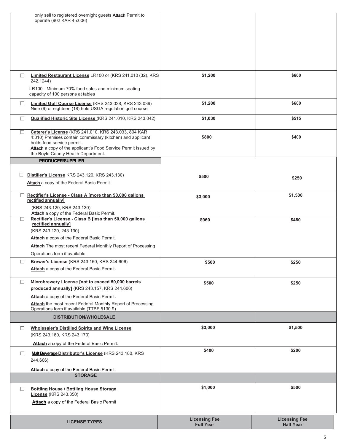| only sell to registered overnight guests Attach Permit to<br>operate (902 KAR 45:006)                                               |                      |                      |
|-------------------------------------------------------------------------------------------------------------------------------------|----------------------|----------------------|
|                                                                                                                                     |                      |                      |
|                                                                                                                                     |                      |                      |
|                                                                                                                                     |                      |                      |
|                                                                                                                                     | \$1,200              | \$600                |
| Limited Restaurant License LR100 or (KRS 241.010 (32), KRS<br>$\Box$<br>242.1244)                                                   |                      |                      |
| LR100 - Minimum 70% food sales and minimum seating<br>capacity of 100 persons at tables                                             |                      |                      |
| $\Box$<br>Limited Golf Course License (KRS 243.038, KRS 243.039)<br>Nine (9) or eighteen (18) hole USGA regulation golf course      | \$1,200              | \$600                |
| $\Box$<br>Qualified Historic Site License (KRS 241.010, KRS 243.042)                                                                | \$1,030              | \$515                |
| Caterer's License (KRS 241.010, KRS 243.033, 804 KAR<br>$\Box$<br>4:310) Premises contain commissary (kitchen) and applicant        | \$800                | \$400                |
| holds food service permit.<br>Attach a copy of the applicant's Food Service Permit issued by<br>the Boyle County Health Department. |                      |                      |
| <b>PRODUCER/SUPPLIER</b>                                                                                                            |                      |                      |
| Distiller's License KRS 243.120, KRS 243.130)<br>$\Box$                                                                             | \$500                | \$250                |
| Attach a copy of the Federal Basic Permit.                                                                                          |                      |                      |
| Rectifier's License - Class A [more than 50,000 gallons<br>$\Box$<br>rectified annually]                                            | \$3,000              | \$1,500              |
| (KRS 243.120, KRS 243.130)<br>Attach a copy of the Federal Basic Permit.                                                            |                      |                      |
| Rectifier's License - Class B [less than 50,000 gallons<br>$\Box$<br>rectified annually]                                            | \$960                | \$480                |
| (KRS 243.120, 243.130)                                                                                                              |                      |                      |
| Attach a copy of the Federal Basic Permit.                                                                                          |                      |                      |
| Attach The most recent Federal Monthly Report of Processing<br>Operations form if available.                                        |                      |                      |
| Brewer's License (KRS 243.150, KRS 244.606)<br>$\Box$                                                                               | \$500                | \$250                |
| Attach a copy of the Federal Basic Permit.                                                                                          |                      |                      |
| Microbrewery License [not to exceed 50,000 barrels<br>$\Box$<br>produced annually] (KRS 243.157, KRS 244.606)                       | \$500                | \$250                |
| Attach a copy of the Federal Basic Permit.                                                                                          |                      |                      |
| Attach the most recent Federal Monthly Report of Processing<br>Operations form if available (TTBF 5130.9)                           |                      |                      |
| <b>DISTRIBUTION/WHOLESALE</b>                                                                                                       |                      |                      |
| $\Box$<br><b>Wholesaler's Distilled Spirits and Wine License</b>                                                                    | \$3,000              | \$1,500              |
| (KRS 243.160, KRS 243.170)                                                                                                          |                      |                      |
| Attach a copy of the Federal Basic Permit.                                                                                          | \$400                | \$200                |
| Malt Beverage Distributor's License (KRS 243.180, KRS<br>$\Box$<br>244.606)                                                         |                      |                      |
| Attach a copy of the Federal Basic Permit.<br><b>STORAGE</b>                                                                        |                      |                      |
| <b>Bottling House / Bottling House Storage</b><br>$\Box$                                                                            | \$1,000              | \$500                |
| <b>License</b> (KRS 243.350)<br>Attach a copy of the Federal Basic Permit                                                           |                      |                      |
|                                                                                                                                     |                      |                      |
| <b>LICENSE TYPES</b>                                                                                                                | <b>Licensing Fee</b> | <b>Licensing Fee</b> |
|                                                                                                                                     | <b>Full Year</b>     | <b>Half Year</b>     |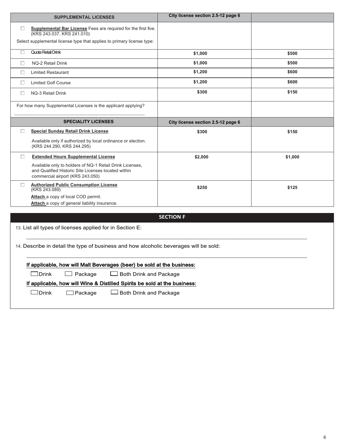| <b>SUPPLEMENTAL LICENSES</b>                                                                                                                                                     | City license section 2.5-12 page 6 |         |
|----------------------------------------------------------------------------------------------------------------------------------------------------------------------------------|------------------------------------|---------|
| Supplemental Bar License Fees are required for the first five.<br>$\Box$<br>(KRS 243.037, KRS 241.010)<br>Select supplemental license type that applies to primary license type: |                                    |         |
| Quota Retail Drink<br>$\Box$                                                                                                                                                     | \$1,000                            | \$500   |
| $\Box$<br>NQ-2 Retail Drink                                                                                                                                                      | \$1,000                            | \$500   |
| <b>Limited Restaurant</b><br>$\Box$                                                                                                                                              | \$1,200                            | \$600   |
| <b>Limited Golf Course</b><br>$\Box$                                                                                                                                             | \$1,200                            | \$600   |
| $\Box$<br><b>NQ-3 Retail Drink</b>                                                                                                                                               | \$300                              | \$150   |
| For how many Supplemental Licenses is the applicant applying?                                                                                                                    |                                    |         |
| <b>SPECIALITY LICENSES</b>                                                                                                                                                       | City license section 2.5-12 page 6 |         |
| <b>Special Sunday Retail Drink License</b><br>□                                                                                                                                  | \$300                              | \$150   |
| Available only if authorized by local ordinance or election.<br>(KRS 244.290, KRS 244.295)                                                                                       |                                    |         |
| <b>Extended Hours Supplemental License</b><br>$\Box$                                                                                                                             | \$2,000                            | \$1,000 |
| Available only to holders of NQ-1 Retail Drink Licenses,<br>and Qualified Historic Site Licenses located within<br>commercial airport (KRS 243.050)                              |                                    |         |
| <b>Authorized Public Consumption License</b><br>□<br>(KRS 243.089)                                                                                                               | \$250                              | \$125   |
| Attach a copy of local COD permit.<br>Attach a copy of general liability insurance.                                                                                              |                                    |         |
|                                                                                                                                                                                  | <b>SECTION F</b>                   |         |
| 13. List all types of licenses applied for in Section E:                                                                                                                         |                                    |         |
| 14. Describe in detail the type of business and how alcoholic beverages will be sold:                                                                                            |                                    |         |
| If applicable, how will Malt Beverages (beer) be sold at the business:                                                                                                           |                                    |         |
| $\Box$ Drink<br>Package<br>Both Drink and Package                                                                                                                                |                                    |         |

If applicable, how will Wine & Distilled Spirits be sold at the business:

□ Drink □ Package □ Both Drink and Package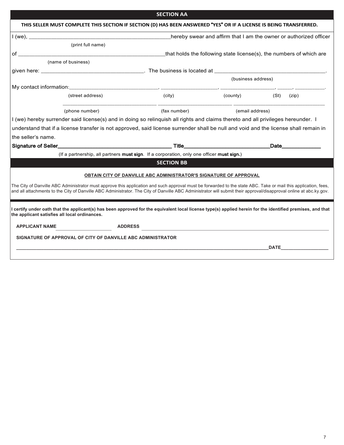|                                                                                                                                                                                                                                                                                                                                       |                   | THIS SELLER MUST COMPLETE THIS SECTION IF SECTION (D) HAS BEEN ANSWERED "YES" OR IF A LICENSE IS BEING TRANSFERRED. |                                      |                                                                      |
|---------------------------------------------------------------------------------------------------------------------------------------------------------------------------------------------------------------------------------------------------------------------------------------------------------------------------------------|-------------------|---------------------------------------------------------------------------------------------------------------------|--------------------------------------|----------------------------------------------------------------------|
|                                                                                                                                                                                                                                                                                                                                       |                   |                                                                                                                     |                                      | hereby swear and affirm that I am the owner or authorized officer    |
|                                                                                                                                                                                                                                                                                                                                       | (print full name) |                                                                                                                     |                                      |                                                                      |
| of $\qquad$                                                                                                                                                                                                                                                                                                                           |                   |                                                                                                                     |                                      | _that holds the following state license(s), the numbers of which are |
| (name of business)                                                                                                                                                                                                                                                                                                                    |                   |                                                                                                                     |                                      |                                                                      |
|                                                                                                                                                                                                                                                                                                                                       |                   |                                                                                                                     |                                      |                                                                      |
|                                                                                                                                                                                                                                                                                                                                       |                   |                                                                                                                     | (business address)                   |                                                                      |
|                                                                                                                                                                                                                                                                                                                                       |                   |                                                                                                                     |                                      |                                                                      |
| (street address)                                                                                                                                                                                                                                                                                                                      |                   | (city)                                                                                                              | $\mathsf{(county)}\tag{\mathsf{St}}$ | (zip)                                                                |
|                                                                                                                                                                                                                                                                                                                                       | (phone number)    | (fax number)                                                                                                        | (email address)                      |                                                                      |
|                                                                                                                                                                                                                                                                                                                                       |                   |                                                                                                                     |                                      |                                                                      |
| I (we) hereby surrender said license(s) and in doing so relinquish all rights and claims thereto and all privileges hereunder. I                                                                                                                                                                                                      |                   |                                                                                                                     |                                      |                                                                      |
| understand that if a license transfer is not approved, said license surrender shall be null and void and the license shall remain in                                                                                                                                                                                                  |                   |                                                                                                                     |                                      |                                                                      |
| the seller's name.                                                                                                                                                                                                                                                                                                                    |                   |                                                                                                                     |                                      |                                                                      |
| Signature of Seller <b>Constitution of Seller Constitution</b> Title <b>Times and Seller Constitution</b> Title <b>Times and Seller Constitution</b> Title <b>Times and Seller Constitution</b> Title <b>Times and Seller Constitution</b> Title <b>Times</b>                                                                         |                   |                                                                                                                     |                                      | _Date_____________                                                   |
|                                                                                                                                                                                                                                                                                                                                       |                   | (If a partnership, all partners must sign. If a corporation, only one officer must sign.)                           |                                      |                                                                      |
|                                                                                                                                                                                                                                                                                                                                       |                   | <b>SECTION BB</b>                                                                                                   |                                      |                                                                      |
|                                                                                                                                                                                                                                                                                                                                       |                   | OBTAIN CITY OF DANVILLE ABC ADMINISTRATOR'S SIGNATURE OF APPROVAL                                                   |                                      |                                                                      |
| The City of Danville ABC Administrator must approve this application and such approval must be forwarded to the state ABC. Take or mail this application, fees,<br>and all attachments to the City of Danville ABC Administrator. The City of Danville ABC Administrator will submit their approval/disapproval online at abc.ky.gov. |                   |                                                                                                                     |                                      |                                                                      |
| l certify under oath that the applicant(s) has been approved for the equivalent local license type(s) applied herein for the identified premises, and that<br>the applicant satisfies all local ordinances.                                                                                                                           |                   |                                                                                                                     |                                      |                                                                      |
| <b>APPLICANT NAME</b>                                                                                                                                                                                                                                                                                                                 |                   |                                                                                                                     |                                      |                                                                      |
| SIGNATURE OF APPROVAL OF CITY OF DANVILLE ABC ADMINISTRATOR                                                                                                                                                                                                                                                                           |                   |                                                                                                                     |                                      |                                                                      |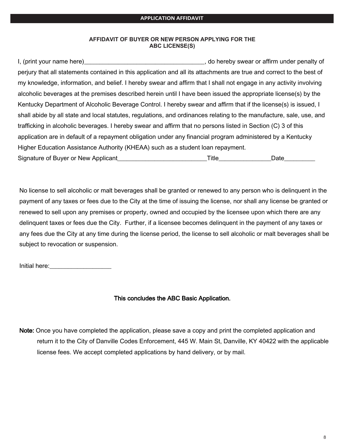## AFFIDAVIT OF BUYER OR NEW PERSON APPLYING FOR THE **ABC LICENSE(S)**

I, (print your name here) example and the set of the set of the set of the set of the set of the set of the set of the set of the set of the set of the set of the set of the set of the set of the set of the set of the set perjury that all statements contained in this application and all its attachments are true and correct to the best of my knowledge, information, and belief. I hereby swear and affirm that I shall not engage in any activity involving alcoholic beverages at the premises described herein until I have been issued the appropriate license(s) by the Kentucky Department of Alcoholic Beverage Control. I hereby swear and affirm that if the license(s) is issued, I shall abide by all state and local statutes, regulations, and ordinances relating to the manufacture, sale, use, and trafficking in alcoholic beverages. I hereby swear and affirm that no persons listed in Section (C) 3 of this application are in default of a repayment obligation under any financial program administered by a Kentucky Higher Education Assistance Authority (KHEAA) such as a student loan repayment. Signature of Buver or New Applicant the state of the state of Title Title and Date

No license to sell alcoholic or malt beverages shall be granted or renewed to any person who is delinguent in the payment of any taxes or fees due to the City at the time of issuing the license, nor shall any license be granted or renewed to sell upon any premises or property, owned and occupied by the licensee upon which there are any delinguent taxes or fees due the City. Further, if a licensee becomes delinguent in the payment of any taxes or any fees due the City at any time during the license period, the license to sell alcoholic or malt beverages shall be subject to revocation or suspension.

Initial here: and the state of the state of the state of the state of the state of the state of the state of the state of the state of the state of the state of the state of the state of the state of the state of the state

## This concludes the ABC Basic Application.

Note: Once you have completed the application, please save a copy and print the completed application and return it to the City of Danville Codes Enforcement, 445 W. Main St, Danville, KY 40422 with the applicable license fees. We accept completed applications by hand delivery, or by mail.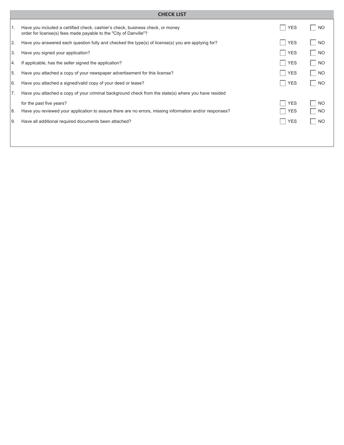|      | <b>CHECK LIST</b>                                                                                                                                   |                   |                  |
|------|-----------------------------------------------------------------------------------------------------------------------------------------------------|-------------------|------------------|
| l 1. | Have you included a certified check, cashier's check, business check, or money<br>order for license(s) fees made payable to the "City of Danville"? | <b>YES</b><br>- 1 | NO.              |
| 2.   | Have you answered each question fully and checked the type(s) of license(s) you are applying for?                                                   | <b>YES</b><br>×   | <b>NO</b><br>×   |
| 3.   | Have you signed your application?                                                                                                                   | <b>YES</b><br>H   | <b>NO</b><br>a l |
| Ι4.  | If applicable, has the seller signed the application?                                                                                               | <b>YES</b><br>H   | <b>NO</b><br>×.  |
| 5.   | Have you attached a copy of your newspaper advertisement for this license?                                                                          | <b>YES</b><br>u   | <b>NO</b><br>a l |
| 6.   | Have you attached a signed/valid copy of your deed or lease?                                                                                        | <b>YES</b><br>- 1 | NO.<br>×         |
| 7.   | Have you attached a copy of your criminal background check from the state(s) where you have resided                                                 |                   |                  |
|      | for the past five years?                                                                                                                            | <b>YES</b>        | <b>NO</b>        |
| 8.   | Have you reviewed your application to assure there are no errors, missing information and/or responses?                                             | <b>YES</b>        | NO.              |
| I9.  | Have all additional required documents been attached?                                                                                               | <b>YES</b><br>n.  | <b>NO</b>        |
|      |                                                                                                                                                     |                   |                  |
|      |                                                                                                                                                     |                   |                  |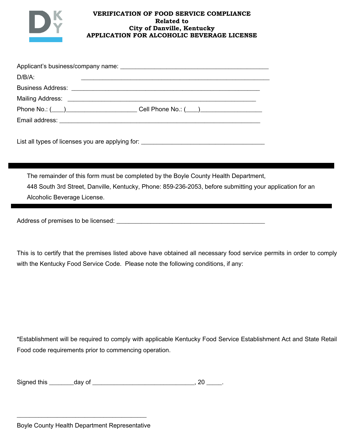

## **VERIFICATION OF FOOD SERVICE COMPLIANCE Related to City of Danville, Kentucky APPLICATION FOR ALCOHOLIC BEVERAGE LICENSE**

| $D/B/A$ : | <u> 1980 - Jan Samuel Barbara, margaret e popularista e popularista e popularista e popularista e popularista e</u>                                                                                                            |
|-----------|--------------------------------------------------------------------------------------------------------------------------------------------------------------------------------------------------------------------------------|
|           |                                                                                                                                                                                                                                |
|           |                                                                                                                                                                                                                                |
|           | Phone No.: (___)_______________________Cell Phone No.: (___)____________________                                                                                                                                               |
|           | Email address: Note and the service of the service of the service of the service of the service of the service of the service of the service of the service of the service of the service of the service of the service of the |
|           |                                                                                                                                                                                                                                |

Y'5)!-88!)\*%/5!+7!8':/(5/5!\*+,!-&/!-%%8\*'(<!7+&M!2222222222222222222222222222222222222222

The remainder of this form must be completed by the Boyle County Health Department, 448 South 3rd Street, Danville, Kentucky, Phone: 859-236-2053, before submitting your application for an Alcoholic Beverage License.

A33&/55!+7!%&/.'5/5!)+!4/!8':/(5/3M!222222222222222222222222222222222222222222222222

This is to certify that the premises listed above have obtained all necessary food service permits in order to comply with the Kentucky Food Service Code. Please note the following conditions, if any:

\*Establishment will be required to comply with applicable Kentucky Food Service Establishment Act and State Retail Food code requirements prior to commencing operation.

222222222222222222222222222222222222222222!!!!!!!!!!!!!!!!!!!!!!!!!!!!!!!!!!!!!!!!!!!!!!!!!!!!!!!!!!!!!!!!!!!!!!!!!!!!!!!!!!!!!!!!!!!!!!!!!!!!!!!!!!!!!!!!!!!!!!!!!!!!!!!!!!

| Signed this |        |  |
|-------------|--------|--|
|             | dav of |  |
|             |        |  |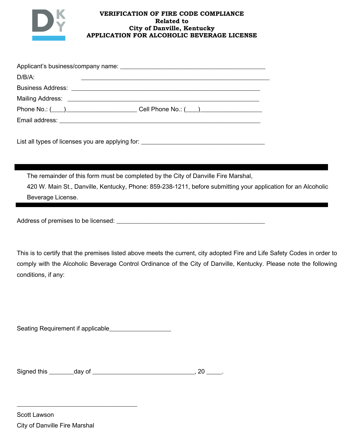

## **VERIFICATION OF FIRE CODE COMPLIANCE Related to City of Danville, Kentucky APPLICATION FOR ALCOHOLIC BEVERAGE LICENSE**

| $D/B/A$ : | <u> 1989 - Jan Samuel Barbara, margaret e populari e populari e populari e populari e populari e populari e popu</u> |
|-----------|----------------------------------------------------------------------------------------------------------------------|
|           |                                                                                                                      |
|           |                                                                                                                      |
|           |                                                                                                                      |
|           |                                                                                                                      |
|           |                                                                                                                      |

List all types of licenses you are applying for:<br> $\frac{1}{2}$ 

The remainder of this form must be completed by the City of Danville Fire Marshal, 420 W. Main St., Danville, Kentucky, Phone: 859-238-1211, before submitting your application for an Alcoholic Beverage License.

Address of premises to be licensed:<br>
and the line of the state of the state of the state of the state of the state of the state of the state of the state of the state of the state of the state of the state of the state of

This is to certify that the premises listed above meets the current, city adopted Fire and Life Safety Codes in order to comply with the Alcoholic Beverage Control Ordinance of the City of Danville, Kentucky. Please note the following conditions, if any:

222222222222222222222222222222222222222!!!!!!!!!!!!!!!!!!!!!!!!!!!!!!!!!!!!!!!!!!!!!!!!!!!!!!!!!!!!!!!!!!!!!!!!!!!!!!!!!!!!!!!!!!!!!!!!!!!!!!!!!!!!!!!!!!!!!!!!!!!!!!!!!!

D/-)'(<!\_/J,'&/./()!'7!-%%8':-48/22222222222222222222

D'<(/3!)0'5!222222223-\*!+7!222222222222222222222222222222222#!UT!22222=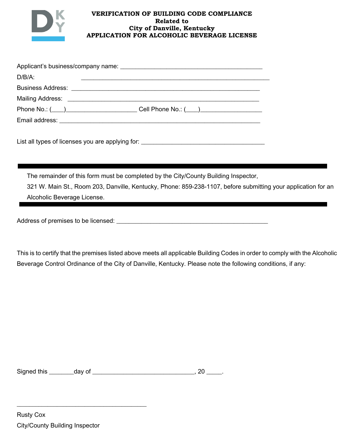

## **VERIFICATION OF BUILDING CODE COMPLIANCE Related to City of Danville, Kentucky APPLICATION FOR ALCOHOLIC BEVERAGE LICENSE**

| $D/B/A$ : | <u> 1989 - Johann Stein, mars an der stein am der stein am der stein am der stein am der stein am der stein am d</u> |
|-----------|----------------------------------------------------------------------------------------------------------------------|
|           |                                                                                                                      |
|           |                                                                                                                      |
|           |                                                                                                                      |
|           |                                                                                                                      |
|           |                                                                                                                      |

List all types of licenses you are applying for: \_\_\_\_\_\_\_\_\_\_\_\_\_\_\_\_\_\_\_\_\_\_\_\_\_\_\_\_\_\_\_

The remainder of this form must be completed by the City/County Building Inspector,

321 W. Main St., Room 203, Danville, Kentucky, Phone: 859-238-1107, before submitting your application for an Alcoholic Beverage License.

A33&/55!+7!%&/.'5/5!)+!4/!8':/(5/3M!2222222222222222222222222222222222222222222222222

This is to certify that the premises listed above meets all applicable Building Codes in order to comply with the Alcoholic Beverage Control Ordinance of the City of Danville, Kentucky. Please note the following conditions, if any:

222222222222222222222222222222222222222222!!!!!!!!!!!!!!!!!!!!!!!!!!!!!!!!!!!!!!!!!!!!!!!!!!!!!!!!!!!!!!!!!!!!!!!!!!!!!!!!!!!!!!!!!!!!!!!!!!!!!!!!!!!!!!!!!!!!!!!!!!!!!!!!!!

D'<(/3!)0'5!222222223-\*!+7!222222222222222222222222222222222#!UT!22222=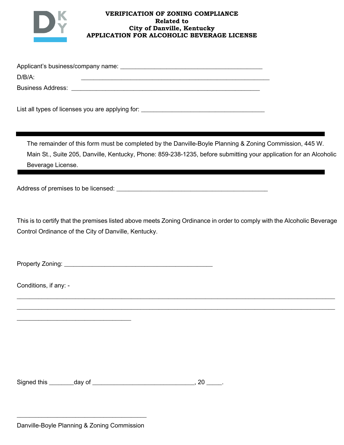

## **VERIFICATION OF ZONING COMPLIANCE Related to City of Danville, Kentucky APPLICATION FOR ALCOHOLIC BEVERAGE LICENSE**

| Applicant's business/company name: |  |  |  |  |
|------------------------------------|--|--|--|--|
| D/B/A:                             |  |  |  |  |
| <b>Business Address:</b>           |  |  |  |  |

List all types of licenses you are applying for: \_\_\_\_\_\_\_\_\_\_\_\_\_\_\_\_\_\_\_\_\_\_\_\_\_\_\_\_\_\_\_

The remainder of this form must be completed by the Danville-Boyle Planning & Zoning Commission, 445 W. Main St., Suite 205, Danville, Kentucky, Phone: 859-238-1235, before submitting your application for an Alcoholic Beverage License.

Address of premises to be licensed: example and all 22222222222222222222222222222

This is to certify that the premises listed above meets Zoning Ordinance in order to comply with the Alcoholic Beverage Control Ordinance of the City of Danville, Kentucky.

2222222222222222222222222222222222222222222222222222222222222222222222222222222222222222222222222222222 2222222222222222222222222222222222222222222222222222222222222222222222222222222222222222222222222222222

222222222222222222222222222222222222222222!!!!!!!!!!!!!!!!!!!!!!!!!!!!!!!!!!!!!!!!!!!!!!!!!!!!!!!!!!!!!!!!!!!!!!!!!!!!!!!!!!!!!!!!!!!!!!!!!!!!!!!!!!!!!!!!!!!!!!!!!!!!!!!!!!

X&+%/&)\*!c+('(<M!222222222222222222222222222222222222222222222222

2222222222222222222222222222222222222

Conditions, if any: -

Signed this day of day of the same control of the service of the service of the service of the service of the s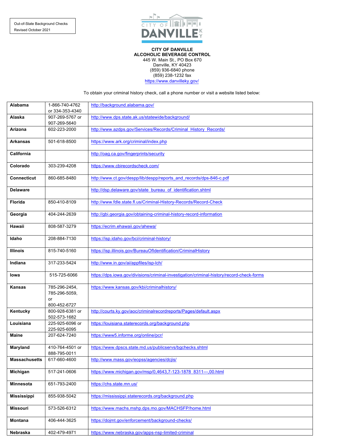

**CITY OF DANVILLE ALCOHOLIC BEVERAGE CONTROL** 445 W. Main St., PO Box 670 Danville, KY 40423 (859) 936-6840 phone (859) 238-1232 fax https://www.danvilleky.gov/

To obtain your criminal history check, call a phone number or visit a website listed below:

| Alabama              | 1-866-740-4762<br>or 334-353-4340    | http://background.alabama.gov/                                                            |
|----------------------|--------------------------------------|-------------------------------------------------------------------------------------------|
| Alaska               | 907-269-5767 or<br>907-269-5640      | http://www.dps.state.ak.us/statewide/background/                                          |
| Arizona              | 602-223-2000                         | http://www.azdps.gov/Services/Records/Criminal History Records/                           |
| <b>Arkansas</b>      | 501-618-8500                         | https://www.ark.org/criminal/index.php                                                    |
| California           |                                      | http://oag.ca.gov/fingerprints/security                                                   |
| Colorado             | 303-239-4208                         | https://www.cbirecordscheck.com/                                                          |
| <b>Connecticut</b>   | 860-685-8480                         | http://www.ct.gov/despp/lib/despp/reports and records/dps-846-c.pdf                       |
| <b>Delaware</b>      |                                      | http://dsp.delaware.gov/state_bureau_of_identification.shtml                              |
| <b>Florida</b>       | 850-410-8109                         | http://www.fdle.state.fl.us/Criminal-History-Records/Record-Check                         |
| Georgia              | 404-244-2639                         | http://qbi.qeorqia.qov/obtaining-criminal-history-record-information                      |
| Hawaii               | 808-587-3279                         | https://ecrim.ehawaii.gov/ahewa/                                                          |
| Idaho                | 208-884-7130                         | https://isp.idaho.gov/bci/criminal-history/                                               |
| <b>Illinois</b>      | 815-740-5160                         | https://isp.illinois.gov/BureauOfIdentification/CriminalHistory                           |
| Indiana              | 317-233-5424                         | http://www.in.gov/ai/appfiles/isp-lch/                                                    |
| lowa                 | 515-725-6066                         | https://dps.iowa.gov/divisions/criminal-investigation/criminal-history/record-check-forms |
| <b>Kansas</b>        | 785-296-2454,<br>785-296-5059,<br>or | https://www.kansas.gov/kbi/criminalhistory/                                               |
|                      | 800-452-6727                         |                                                                                           |
| Kentucky             | 800-928-6381 or<br>502-573-1682      | http://courts.ky.gov/aoc/criminalrecordreports/Pages/default.aspx                         |
| Louisiana            | 225-925-6096 or<br>225-925-6095      | https://louisiana.staterecords.org/background.php                                         |
| <b>Maine</b>         | 207-624-7240                         | https://www5.informe.org/online/pcr/                                                      |
| Maryland             | 410-764-4501 or<br>888-795-0011      | https://www.dpscs.state.md.us/publicservs/bgchecks.shtml                                  |
| <b>Massachusetts</b> | 617-660-4600                         | http://www.mass.gov/eopss/agencies/dcjis/                                                 |
| Michigan             | 517-241-0606                         | https://www.michigan.gov/msp/0,4643,7-123-1878 8311---,00.html                            |
| <b>Minnesota</b>     | 651-793-2400                         | https://chs.state.mn.us/                                                                  |
| <b>Mississippi</b>   | 855-938-5042                         | https://mississippi.staterecords.org/background.php                                       |
| <b>Missouri</b>      | 573-526-6312                         | https://www.machs.mshp.dps.mo.gov/MACHSFP/home.html                                       |
| Montana              | 406-444-3625                         | https://dojmt.gov/enforcement/background-checks/                                          |
| Nebraska             | 402-479-4971                         | https://www.nebraska.gov/apps-nsp-limited-criminal                                        |